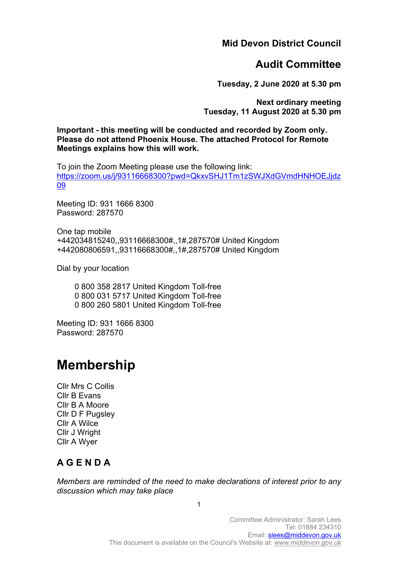**Mid Devon District Council**

# **Audit Committee**

**Tuesday, 2 June 2020 at 5.30 pm**

**Next ordinary meeting Tuesday, 11 August 2020 at 5.30 pm**

**Important - this meeting will be conducted and recorded by Zoom only. Please do not attend Phoenix House. The attached Protocol for Remote Meetings explains how this will work.**

To join the Zoom Meeting please use the following link: [https://zoom.us/j/93116668300?pwd=QkxvSHJ1Tm1zSWJXdGVmdHNHOEJjdz](https://zoom.us/j/93116668300?pwd=QkxvSHJ1Tm1zSWJXdGVmdHNHOEJjdz09) [09](https://zoom.us/j/93116668300?pwd=QkxvSHJ1Tm1zSWJXdGVmdHNHOEJjdz09)

Meeting ID: 931 1666 8300 Password: 287570

One tap mobile +442034815240,,93116668300#,,1#,287570# United Kingdom +442080806591,,93116668300#,,1#,287570# United Kingdom

Dial by your location

 0 800 358 2817 United Kingdom Toll-free 0 800 031 5717 United Kingdom Toll-free 0 800 260 5801 United Kingdom Toll-free

Meeting ID: 931 1666 8300 Password: 287570

# **Membership**

Cllr Mrs C Collis Cllr B Evans Cllr B A Moore Cllr D F Pugsley Cllr A Wilce Cllr J Wright Cllr A Wyer

# **A G E N D A**

*Members are reminded of the need to make declarations of interest prior to any discussion which may take place*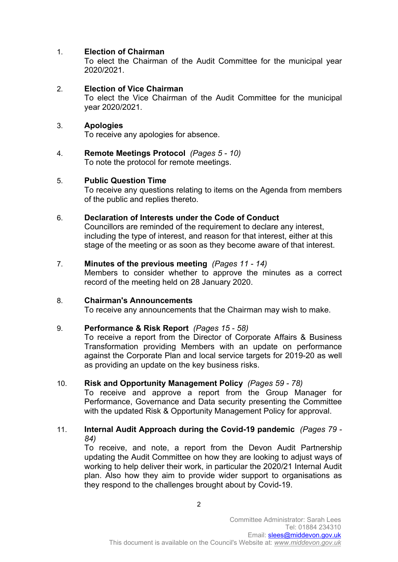# 1. **Election of Chairman**

To elect the Chairman of the Audit Committee for the municipal year 2020/2021.

2. **Election of Vice Chairman** 

To elect the Vice Chairman of the Audit Committee for the municipal year 2020/2021.

#### 3. **Apologies**

To receive any apologies for absence.

4. **Remote Meetings Protocol** *(Pages 5 - 10)* To note the protocol for remote meetings.

#### 5. **Public Question Time**

To receive any questions relating to items on the Agenda from members of the public and replies thereto.

6. **Declaration of Interests under the Code of Conduct** 

Councillors are reminded of the requirement to declare any interest, including the type of interest, and reason for that interest, either at this stage of the meeting or as soon as they become aware of that interest.

#### 7. **Minutes of the previous meeting** *(Pages 11 - 14)*

Members to consider whether to approve the minutes as a correct record of the meeting held on 28 January 2020.

#### 8. **Chairman's Announcements**

To receive any announcements that the Chairman may wish to make.

#### 9. **Performance & Risk Report** *(Pages 15 - 58)*

To receive a report from the Director of Corporate Affairs & Business Transformation providing Members with an update on performance against the Corporate Plan and local service targets for 2019-20 as well as providing an update on the key business risks.

### 10. **Risk and Opportunity Management Policy** *(Pages 59 - 78)*

To receive and approve a report from the Group Manager for Performance, Governance and Data security presenting the Committee with the updated Risk & Opportunity Management Policy for approval.

#### 11. **Internal Audit Approach during the Covid-19 pandemic** *(Pages 79 - 84)*

To receive, and note, a report from the Devon Audit Partnership updating the Audit Committee on how they are looking to adjust ways of working to help deliver their work, in particular the 2020/21 Internal Audit plan. Also how they aim to provide wider support to organisations as they respond to the challenges brought about by Covid-19.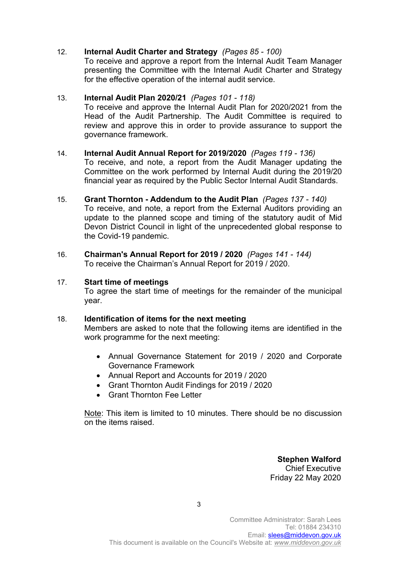## 12. **Internal Audit Charter and Strategy** *(Pages 85 - 100)*

To receive and approve a report from the Internal Audit Team Manager presenting the Committee with the Internal Audit Charter and Strategy for the effective operation of the internal audit service.

#### 13. **Internal Audit Plan 2020/21** *(Pages 101 - 118)*

To receive and approve the Internal Audit Plan for 2020/2021 from the Head of the Audit Partnership. The Audit Committee is required to review and approve this in order to provide assurance to support the governance framework.

# 14. **Internal Audit Annual Report for 2019/2020** *(Pages 119 - 136)* To receive, and note, a report from the Audit Manager updating the

Committee on the work performed by Internal Audit during the 2019/20 financial year as required by the Public Sector Internal Audit Standards.

- 15. **Grant Thornton - Addendum to the Audit Plan** *(Pages 137 - 140)* To receive, and note, a report from the External Auditors providing an update to the planned scope and timing of the statutory audit of Mid Devon District Council in light of the unprecedented global response to the Covid-19 pandemic.
- 16. **Chairman's Annual Report for 2019 / 2020** *(Pages 141 - 144)* To receive the Chairman's Annual Report for 2019 / 2020.

# 17. **Start time of meetings**

To agree the start time of meetings for the remainder of the municipal year.

# 18. **Identification of items for the next meeting**

Members are asked to note that the following items are identified in the work programme for the next meeting:

- Annual Governance Statement for 2019 / 2020 and Corporate Governance Framework
- Annual Report and Accounts for 2019 / 2020
- Grant Thornton Audit Findings for 2019 / 2020
- Grant Thornton Fee Letter

Note: This item is limited to 10 minutes. There should be no discussion on the items raised.

> **Stephen Walford** Chief Executive Friday 22 May 2020